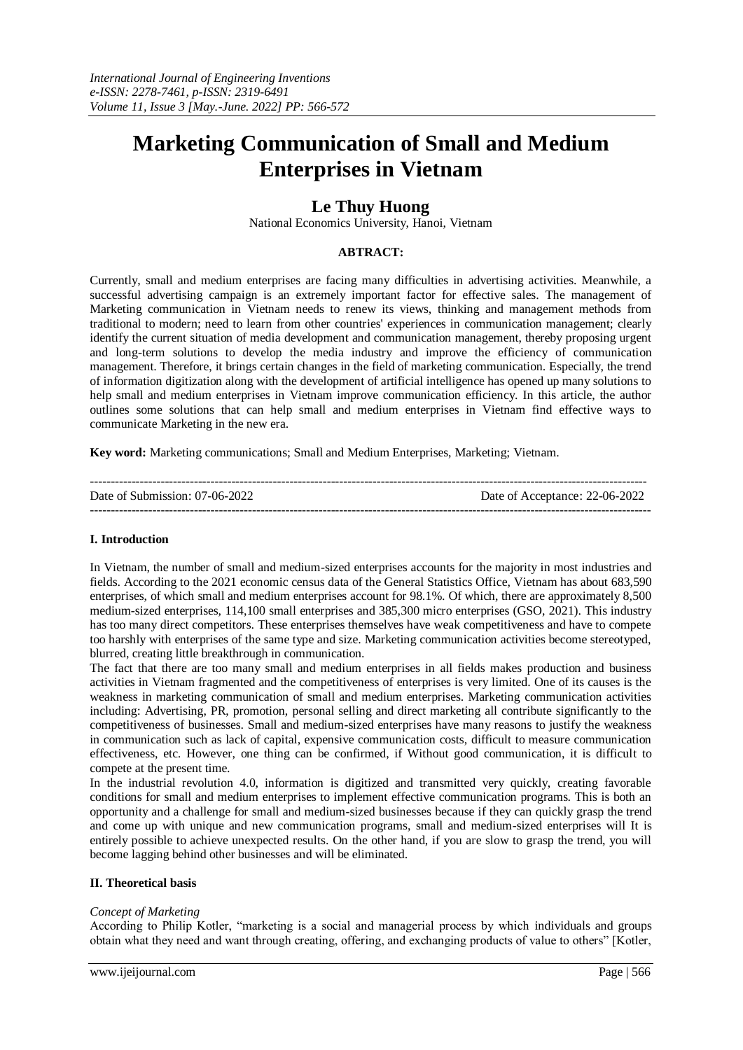# **Marketing Communication of Small and Medium Enterprises in Vietnam**

# **Le Thuy Huong**

National Economics University, Hanoi, Vietnam

# **ABTRACT:**

Currently, small and medium enterprises are facing many difficulties in advertising activities. Meanwhile, a successful advertising campaign is an extremely important factor for effective sales. The management of Marketing communication in Vietnam needs to renew its views, thinking and management methods from traditional to modern; need to learn from other countries' experiences in communication management; clearly identify the current situation of media development and communication management, thereby proposing urgent and long-term solutions to develop the media industry and improve the efficiency of communication management. Therefore, it brings certain changes in the field of marketing communication. Especially, the trend of information digitization along with the development of artificial intelligence has opened up many solutions to help small and medium enterprises in Vietnam improve communication efficiency. In this article, the author outlines some solutions that can help small and medium enterprises in Vietnam find effective ways to communicate Marketing in the new era.

**Key word:** Marketing communications; Small and Medium Enterprises, Marketing; Vietnam.

| Date of Submission: 07-06-2022 | Date of Acceptance: 22-06-2022 |
|--------------------------------|--------------------------------|
|                                |                                |

#### **I. Introduction**

In Vietnam, the number of small and medium-sized enterprises accounts for the majority in most industries and fields. According to the 2021 economic census data of the General Statistics Office, Vietnam has about 683,590 enterprises, of which small and medium enterprises account for 98.1%. Of which, there are approximately 8,500 medium-sized enterprises, 114,100 small enterprises and 385,300 micro enterprises (GSO, 2021). This industry has too many direct competitors. These enterprises themselves have weak competitiveness and have to compete too harshly with enterprises of the same type and size. Marketing communication activities become stereotyped, blurred, creating little breakthrough in communication.

The fact that there are too many small and medium enterprises in all fields makes production and business activities in Vietnam fragmented and the competitiveness of enterprises is very limited. One of its causes is the weakness in marketing communication of small and medium enterprises. Marketing communication activities including: Advertising, PR, promotion, personal selling and direct marketing all contribute significantly to the competitiveness of businesses. Small and medium-sized enterprises have many reasons to justify the weakness in communication such as lack of capital, expensive communication costs, difficult to measure communication effectiveness, etc. However, one thing can be confirmed, if Without good communication, it is difficult to compete at the present time.

In the industrial revolution 4.0, information is digitized and transmitted very quickly, creating favorable conditions for small and medium enterprises to implement effective communication programs. This is both an opportunity and a challenge for small and medium-sized businesses because if they can quickly grasp the trend and come up with unique and new communication programs, small and medium-sized enterprises will It is entirely possible to achieve unexpected results. On the other hand, if you are slow to grasp the trend, you will become lagging behind other businesses and will be eliminated.

#### **II. Theoretical basis**

#### *Concept of Marketing*

According to Philip Kotler, "marketing is a social and managerial process by which individuals and groups obtain what they need and want through creating, offering, and exchanging products of value to others" [Kotler,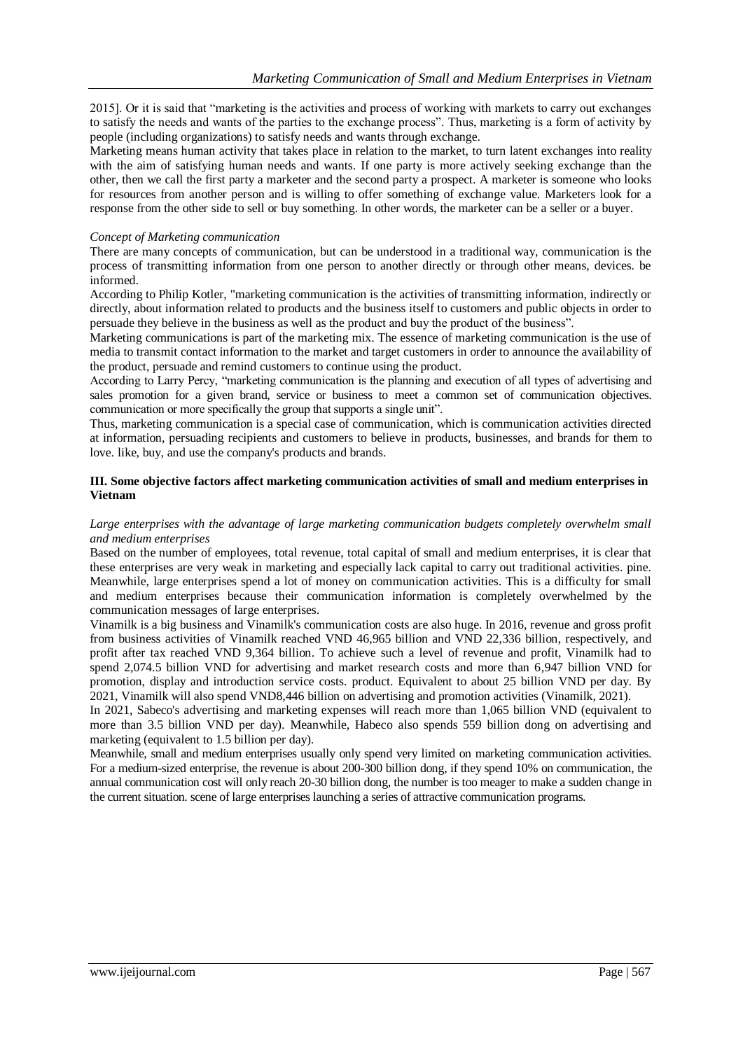2015]. Or it is said that "marketing is the activities and process of working with markets to carry out exchanges to satisfy the needs and wants of the parties to the exchange process". Thus, marketing is a form of activity by people (including organizations) to satisfy needs and wants through exchange.

Marketing means human activity that takes place in relation to the market, to turn latent exchanges into reality with the aim of satisfying human needs and wants. If one party is more actively seeking exchange than the other, then we call the first party a marketer and the second party a prospect. A marketer is someone who looks for resources from another person and is willing to offer something of exchange value. Marketers look for a response from the other side to sell or buy something. In other words, the marketer can be a seller or a buyer.

#### *Concept of Marketing communication*

There are many concepts of communication, but can be understood in a traditional way, communication is the process of transmitting information from one person to another directly or through other means, devices. be informed.

According to Philip Kotler, "marketing communication is the activities of transmitting information, indirectly or directly, about information related to products and the business itself to customers and public objects in order to persuade they believe in the business as well as the product and buy the product of the business".

Marketing communications is part of the marketing mix. The essence of marketing communication is the use of media to transmit contact information to the market and target customers in order to announce the availability of the product, persuade and remind customers to continue using the product.

According to Larry Percy, "marketing communication is the planning and execution of all types of advertising and sales promotion for a given brand, service or business to meet a common set of communication objectives. communication or more specifically the group that supports a single unit".

Thus, marketing communication is a special case of communication, which is communication activities directed at information, persuading recipients and customers to believe in products, businesses, and brands for them to love. like, buy, and use the company's products and brands.

#### **III. Some objective factors affect marketing communication activities of small and medium enterprises in Vietnam**

#### *Large enterprises with the advantage of large marketing communication budgets completely overwhelm small and medium enterprises*

Based on the number of employees, total revenue, total capital of small and medium enterprises, it is clear that these enterprises are very weak in marketing and especially lack capital to carry out traditional activities. pine. Meanwhile, large enterprises spend a lot of money on communication activities. This is a difficulty for small and medium enterprises because their communication information is completely overwhelmed by the communication messages of large enterprises.

Vinamilk is a big business and Vinamilk's communication costs are also huge. In 2016, revenue and gross profit from business activities of Vinamilk reached VND 46,965 billion and VND 22,336 billion, respectively, and profit after tax reached VND 9,364 billion. To achieve such a level of revenue and profit, Vinamilk had to spend 2,074.5 billion VND for advertising and market research costs and more than 6,947 billion VND for promotion, display and introduction service costs. product. Equivalent to about 25 billion VND per day. By 2021, Vinamilk will also spend VND8,446 billion on advertising and promotion activities (Vinamilk, 2021).

In 2021, Sabeco's advertising and marketing expenses will reach more than 1,065 billion VND (equivalent to more than 3.5 billion VND per day). Meanwhile, Habeco also spends 559 billion dong on advertising and marketing (equivalent to 1.5 billion per day).

Meanwhile, small and medium enterprises usually only spend very limited on marketing communication activities. For a medium-sized enterprise, the revenue is about 200-300 billion dong, if they spend 10% on communication, the annual communication cost will only reach 20-30 billion dong, the number is too meager to make a sudden change in the current situation. scene of large enterprises launching a series of attractive communication programs.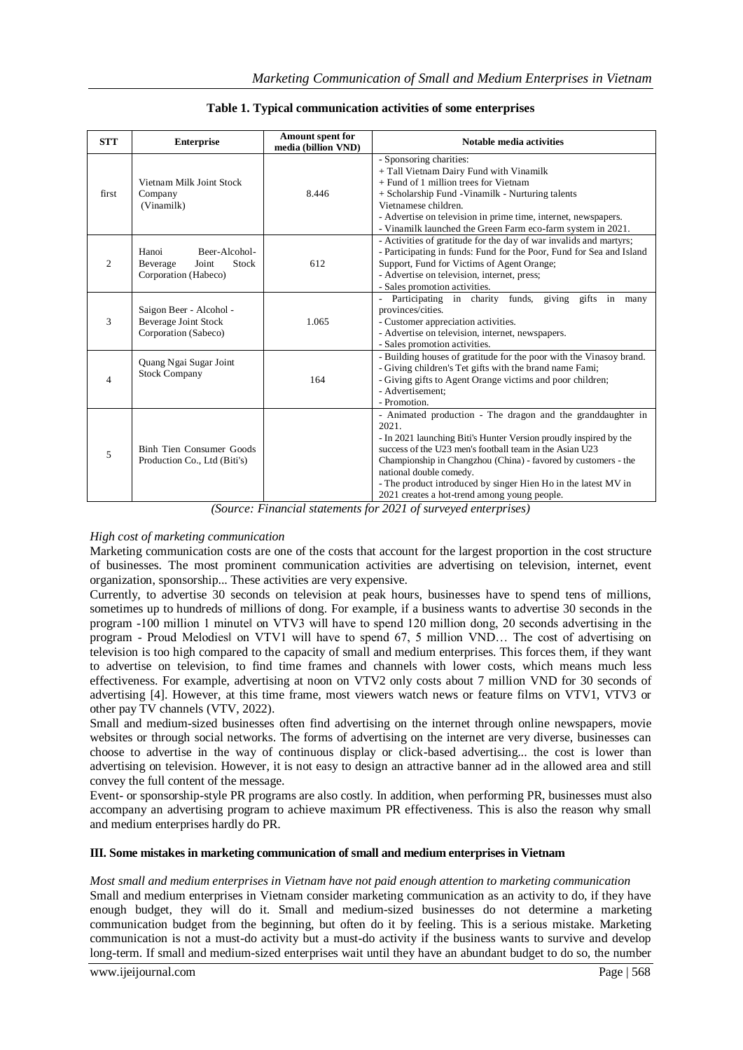| <b>STT</b>     | <b>Enterprise</b>                                                              | Amount spent for<br>media (billion VND) | <b>Notable media activities</b>                                                                                                                                                                                                                                                                                                                                                                                     |
|----------------|--------------------------------------------------------------------------------|-----------------------------------------|---------------------------------------------------------------------------------------------------------------------------------------------------------------------------------------------------------------------------------------------------------------------------------------------------------------------------------------------------------------------------------------------------------------------|
| first          | Vietnam Milk Joint Stock<br>Company<br>(Vinamilk)                              | 8.446                                   | - Sponsoring charities:<br>+ Tall Vietnam Dairy Fund with Vinamilk<br>+ Fund of 1 million trees for Vietnam<br>+ Scholarship Fund - Vinamilk - Nurturing talents<br>Vietnamese children.<br>- Advertise on television in prime time, internet, newspapers.<br>- Vinamilk launched the Green Farm eco-farm system in 2021.                                                                                           |
| $\mathfrak{D}$ | Beer-Alcohol-<br>Hanoi<br>Stock<br>Beverage<br>Joint<br>Corporation (Habeco)   | 612                                     | - Activities of gratitude for the day of war invalids and martyrs;<br>- Participating in funds: Fund for the Poor, Fund for Sea and Island<br>Support, Fund for Victims of Agent Orange;<br>- Advertise on television, internet, press;<br>- Sales promotion activities.                                                                                                                                            |
| 3              | Saigon Beer - Alcohol -<br><b>Beverage Joint Stock</b><br>Corporation (Sabeco) | 1.065                                   | Participating in charity funds,<br>giving<br>gifts in<br>many<br>$\overline{\phantom{a}}$<br>provinces/cities.<br>- Customer appreciation activities.<br>- Advertise on television, internet, newspapers.<br>- Sales promotion activities.                                                                                                                                                                          |
| $\overline{4}$ | Quang Ngai Sugar Joint<br><b>Stock Company</b>                                 | 164                                     | - Building houses of gratitude for the poor with the Vinasoy brand.<br>- Giving children's Tet gifts with the brand name Fami;<br>- Giving gifts to Agent Orange victims and poor children;<br>- Advertisement:<br>- Promotion.                                                                                                                                                                                     |
| 5              | Binh Tien Consumer Goods<br>Production Co., Ltd (Biti's)                       |                                         | - Animated production - The dragon and the granddaughter in<br>2021.<br>- In 2021 launching Biti's Hunter Version proudly inspired by the<br>success of the U23 men's football team in the Asian U23<br>Championship in Changzhou (China) - favored by customers - the<br>national double comedy.<br>- The product introduced by singer Hien Ho in the latest MV in<br>2021 creates a hot-trend among young people. |

**Table 1. Typical communication activities of some enterprises**

*(Source: Financial statements for 2021 of surveyed enterprises)*

# *High cost of marketing communication*

Marketing communication costs are one of the costs that account for the largest proportion in the cost structure of businesses. The most prominent communication activities are advertising on television, internet, event organization, sponsorship... These activities are very expensive.

Currently, to advertise 30 seconds on television at peak hours, businesses have to spend tens of millions, sometimes up to hundreds of millions of dong. For example, if a business wants to advertise 30 seconds in the program -100 million 1 minute‖ on VTV3 will have to spend 120 million dong, 20 seconds advertising in the program - Proud Melodiesl on VTV1 will have to spend 67, 5 million VND… The cost of advertising on television is too high compared to the capacity of small and medium enterprises. This forces them, if they want to advertise on television, to find time frames and channels with lower costs, which means much less effectiveness. For example, advertising at noon on VTV2 only costs about 7 million VND for 30 seconds of advertising [4]. However, at this time frame, most viewers watch news or feature films on VTV1, VTV3 or other pay TV channels (VTV, 2022).

Small and medium-sized businesses often find advertising on the internet through online newspapers, movie websites or through social networks. The forms of advertising on the internet are very diverse, businesses can choose to advertise in the way of continuous display or click-based advertising... the cost is lower than advertising on television. However, it is not easy to design an attractive banner ad in the allowed area and still convey the full content of the message.

Event- or sponsorship-style PR programs are also costly. In addition, when performing PR, businesses must also accompany an advertising program to achieve maximum PR effectiveness. This is also the reason why small and medium enterprises hardly do PR.

#### **III. Some mistakes in marketing communication of small and medium enterprises in Vietnam**

*Most small and medium enterprises in Vietnam have not paid enough attention to marketing communication* Small and medium enterprises in Vietnam consider marketing communication as an activity to do, if they have enough budget, they will do it. Small and medium-sized businesses do not determine a marketing communication budget from the beginning, but often do it by feeling. This is a serious mistake. Marketing communication is not a must-do activity but a must-do activity if the business wants to survive and develop long-term. If small and medium-sized enterprises wait until they have an abundant budget to do so, the number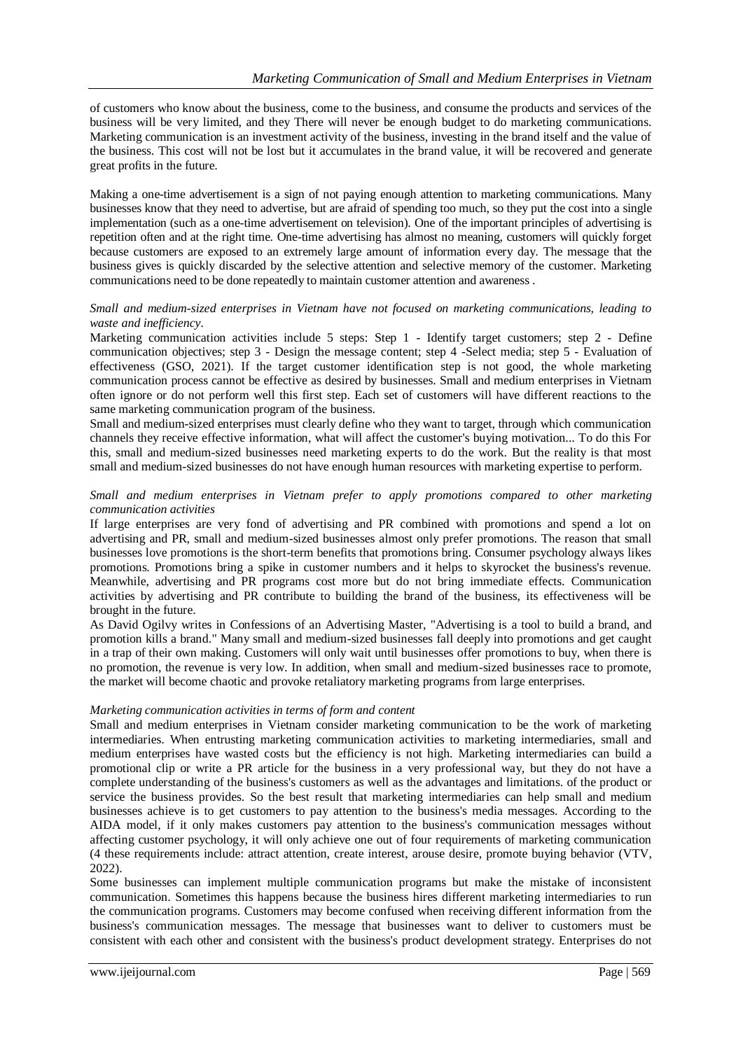of customers who know about the business, come to the business, and consume the products and services of the business will be very limited, and they There will never be enough budget to do marketing communications. Marketing communication is an investment activity of the business, investing in the brand itself and the value of the business. This cost will not be lost but it accumulates in the brand value, it will be recovered and generate great profits in the future.

Making a one-time advertisement is a sign of not paying enough attention to marketing communications. Many businesses know that they need to advertise, but are afraid of spending too much, so they put the cost into a single implementation (such as a one-time advertisement on television). One of the important principles of advertising is repetition often and at the right time. One-time advertising has almost no meaning, customers will quickly forget because customers are exposed to an extremely large amount of information every day. The message that the business gives is quickly discarded by the selective attention and selective memory of the customer. Marketing communications need to be done repeatedly to maintain customer attention and awareness .

#### *Small and medium-sized enterprises in Vietnam have not focused on marketing communications, leading to waste and inefficiency.*

Marketing communication activities include 5 steps: Step 1 - Identify target customers; step 2 - Define communication objectives; step 3 - Design the message content; step 4 -Select media; step 5 - Evaluation of effectiveness (GSO, 2021). If the target customer identification step is not good, the whole marketing communication process cannot be effective as desired by businesses. Small and medium enterprises in Vietnam often ignore or do not perform well this first step. Each set of customers will have different reactions to the same marketing communication program of the business.

Small and medium-sized enterprises must clearly define who they want to target, through which communication channels they receive effective information, what will affect the customer's buying motivation... To do this For this, small and medium-sized businesses need marketing experts to do the work. But the reality is that most small and medium-sized businesses do not have enough human resources with marketing expertise to perform.

#### *Small and medium enterprises in Vietnam prefer to apply promotions compared to other marketing communication activities*

If large enterprises are very fond of advertising and PR combined with promotions and spend a lot on advertising and PR, small and medium-sized businesses almost only prefer promotions. The reason that small businesses love promotions is the short-term benefits that promotions bring. Consumer psychology always likes promotions. Promotions bring a spike in customer numbers and it helps to skyrocket the business's revenue. Meanwhile, advertising and PR programs cost more but do not bring immediate effects. Communication activities by advertising and PR contribute to building the brand of the business, its effectiveness will be brought in the future.

As David Ogilvy writes in Confessions of an Advertising Master, "Advertising is a tool to build a brand, and promotion kills a brand." Many small and medium-sized businesses fall deeply into promotions and get caught in a trap of their own making. Customers will only wait until businesses offer promotions to buy, when there is no promotion, the revenue is very low. In addition, when small and medium-sized businesses race to promote, the market will become chaotic and provoke retaliatory marketing programs from large enterprises.

#### *Marketing communication activities in terms of form and content*

Small and medium enterprises in Vietnam consider marketing communication to be the work of marketing intermediaries. When entrusting marketing communication activities to marketing intermediaries, small and medium enterprises have wasted costs but the efficiency is not high. Marketing intermediaries can build a promotional clip or write a PR article for the business in a very professional way, but they do not have a complete understanding of the business's customers as well as the advantages and limitations. of the product or service the business provides. So the best result that marketing intermediaries can help small and medium businesses achieve is to get customers to pay attention to the business's media messages. According to the AIDA model, if it only makes customers pay attention to the business's communication messages without affecting customer psychology, it will only achieve one out of four requirements of marketing communication (4 these requirements include: attract attention, create interest, arouse desire, promote buying behavior (VTV, 2022).

Some businesses can implement multiple communication programs but make the mistake of inconsistent communication. Sometimes this happens because the business hires different marketing intermediaries to run the communication programs. Customers may become confused when receiving different information from the business's communication messages. The message that businesses want to deliver to customers must be consistent with each other and consistent with the business's product development strategy. Enterprises do not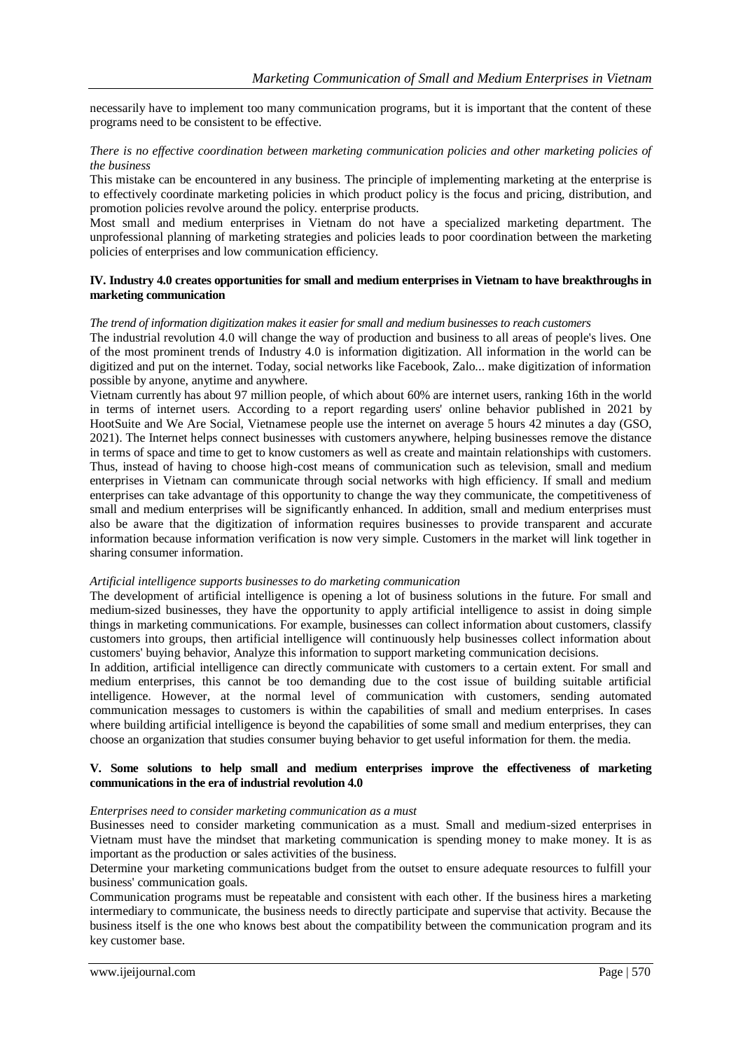necessarily have to implement too many communication programs, but it is important that the content of these programs need to be consistent to be effective.

#### *There is no effective coordination between marketing communication policies and other marketing policies of the business*

This mistake can be encountered in any business. The principle of implementing marketing at the enterprise is to effectively coordinate marketing policies in which product policy is the focus and pricing, distribution, and promotion policies revolve around the policy. enterprise products.

Most small and medium enterprises in Vietnam do not have a specialized marketing department. The unprofessional planning of marketing strategies and policies leads to poor coordination between the marketing policies of enterprises and low communication efficiency.

#### **IV. Industry 4.0 creates opportunities for small and medium enterprises in Vietnam to have breakthroughs in marketing communication**

#### *The trend of information digitization makes it easier for small and medium businesses to reach customers*

The industrial revolution 4.0 will change the way of production and business to all areas of people's lives. One of the most prominent trends of Industry 4.0 is information digitization. All information in the world can be digitized and put on the internet. Today, social networks like Facebook, Zalo... make digitization of information possible by anyone, anytime and anywhere.

Vietnam currently has about 97 million people, of which about 60% are internet users, ranking 16th in the world in terms of internet users. According to a report regarding users' online behavior published in 2021 by HootSuite and We Are Social, Vietnamese people use the internet on average 5 hours 42 minutes a day (GSO, 2021). The Internet helps connect businesses with customers anywhere, helping businesses remove the distance in terms of space and time to get to know customers as well as create and maintain relationships with customers. Thus, instead of having to choose high-cost means of communication such as television, small and medium enterprises in Vietnam can communicate through social networks with high efficiency. If small and medium enterprises can take advantage of this opportunity to change the way they communicate, the competitiveness of small and medium enterprises will be significantly enhanced. In addition, small and medium enterprises must also be aware that the digitization of information requires businesses to provide transparent and accurate information because information verification is now very simple. Customers in the market will link together in sharing consumer information.

#### *Artificial intelligence supports businesses to do marketing communication*

The development of artificial intelligence is opening a lot of business solutions in the future. For small and medium-sized businesses, they have the opportunity to apply artificial intelligence to assist in doing simple things in marketing communications. For example, businesses can collect information about customers, classify customers into groups, then artificial intelligence will continuously help businesses collect information about customers' buying behavior, Analyze this information to support marketing communication decisions.

In addition, artificial intelligence can directly communicate with customers to a certain extent. For small and medium enterprises, this cannot be too demanding due to the cost issue of building suitable artificial intelligence. However, at the normal level of communication with customers, sending automated communication messages to customers is within the capabilities of small and medium enterprises. In cases where building artificial intelligence is beyond the capabilities of some small and medium enterprises, they can choose an organization that studies consumer buying behavior to get useful information for them. the media.

#### **V. Some solutions to help small and medium enterprises improve the effectiveness of marketing communications in the era of industrial revolution 4.0**

#### *Enterprises need to consider marketing communication as a must*

Businesses need to consider marketing communication as a must. Small and medium-sized enterprises in Vietnam must have the mindset that marketing communication is spending money to make money. It is as important as the production or sales activities of the business.

Determine your marketing communications budget from the outset to ensure adequate resources to fulfill your business' communication goals.

Communication programs must be repeatable and consistent with each other. If the business hires a marketing intermediary to communicate, the business needs to directly participate and supervise that activity. Because the business itself is the one who knows best about the compatibility between the communication program and its key customer base.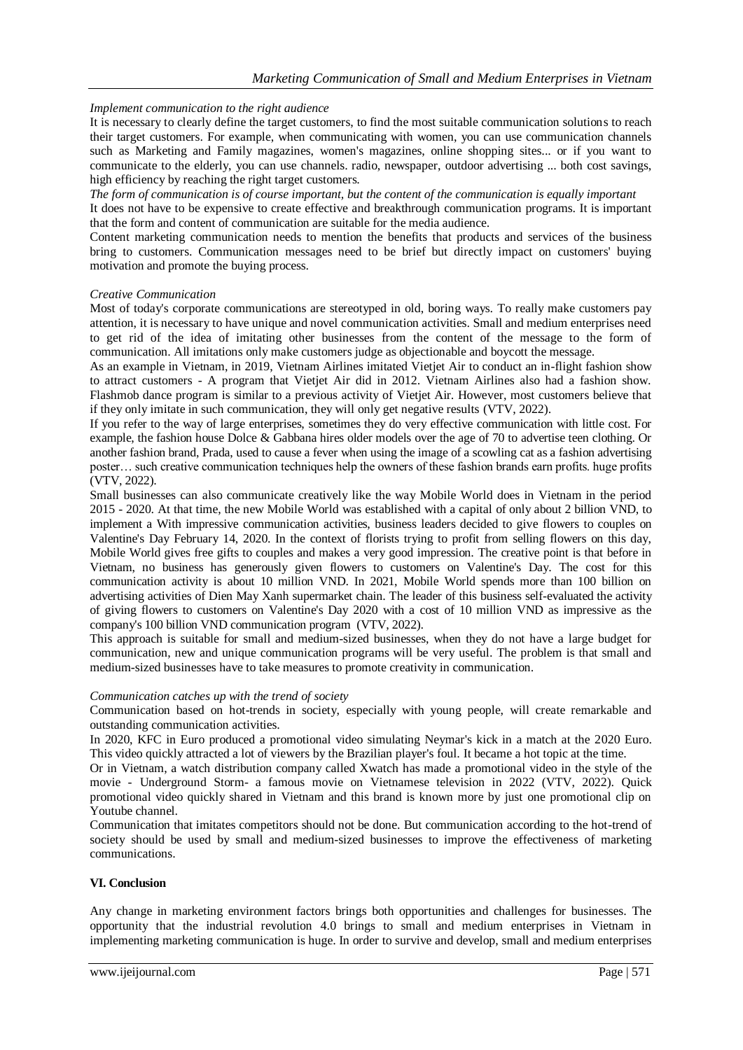# *Implement communication to the right audience*

It is necessary to clearly define the target customers, to find the most suitable communication solutions to reach their target customers. For example, when communicating with women, you can use communication channels such as Marketing and Family magazines, women's magazines, online shopping sites... or if you want to communicate to the elderly, you can use channels. radio, newspaper, outdoor advertising ... both cost savings, high efficiency by reaching the right target customers.

*The form of communication is of course important, but the content of the communication is equally important* It does not have to be expensive to create effective and breakthrough communication programs. It is important that the form and content of communication are suitable for the media audience.

Content marketing communication needs to mention the benefits that products and services of the business bring to customers. Communication messages need to be brief but directly impact on customers' buying motivation and promote the buying process.

#### *Creative Communication*

Most of today's corporate communications are stereotyped in old, boring ways. To really make customers pay attention, it is necessary to have unique and novel communication activities. Small and medium enterprises need to get rid of the idea of imitating other businesses from the content of the message to the form of communication. All imitations only make customers judge as objectionable and boycott the message.

As an example in Vietnam, in 2019, Vietnam Airlines imitated Vietjet Air to conduct an in-flight fashion show to attract customers - A program that Vietjet Air did in 2012. Vietnam Airlines also had a fashion show. Flashmob dance program is similar to a previous activity of Vietjet Air. However, most customers believe that if they only imitate in such communication, they will only get negative results (VTV, 2022).

If you refer to the way of large enterprises, sometimes they do very effective communication with little cost. For example, the fashion house Dolce & Gabbana hires older models over the age of 70 to advertise teen clothing. Or another fashion brand, Prada, used to cause a fever when using the image of a scowling cat as a fashion advertising poster… such creative communication techniques help the owners of these fashion brands earn profits. huge profits (VTV, 2022).

Small businesses can also communicate creatively like the way Mobile World does in Vietnam in the period 2015 - 2020. At that time, the new Mobile World was established with a capital of only about 2 billion VND, to implement a With impressive communication activities, business leaders decided to give flowers to couples on Valentine's Day February 14, 2020. In the context of florists trying to profit from selling flowers on this day, Mobile World gives free gifts to couples and makes a very good impression. The creative point is that before in Vietnam, no business has generously given flowers to customers on Valentine's Day. The cost for this communication activity is about 10 million VND. In 2021, Mobile World spends more than 100 billion on advertising activities of Dien May Xanh supermarket chain. The leader of this business self-evaluated the activity of giving flowers to customers on Valentine's Day 2020 with a cost of 10 million VND as impressive as the company's 100 billion VND communication program (VTV, 2022).

This approach is suitable for small and medium-sized businesses, when they do not have a large budget for communication, new and unique communication programs will be very useful. The problem is that small and medium-sized businesses have to take measures to promote creativity in communication.

#### *Communication catches up with the trend of society*

Communication based on hot-trends in society, especially with young people, will create remarkable and outstanding communication activities.

In 2020, KFC in Euro produced a promotional video simulating Neymar's kick in a match at the 2020 Euro. This video quickly attracted a lot of viewers by the Brazilian player's foul. It became a hot topic at the time.

Or in Vietnam, a watch distribution company called Xwatch has made a promotional video in the style of the movie - Underground Storm- a famous movie on Vietnamese television in 2022 (VTV, 2022). Quick promotional video quickly shared in Vietnam and this brand is known more by just one promotional clip on Youtube channel.

Communication that imitates competitors should not be done. But communication according to the hot-trend of society should be used by small and medium-sized businesses to improve the effectiveness of marketing communications.

#### **VI. Conclusion**

Any change in marketing environment factors brings both opportunities and challenges for businesses. The opportunity that the industrial revolution 4.0 brings to small and medium enterprises in Vietnam in implementing marketing communication is huge. In order to survive and develop, small and medium enterprises